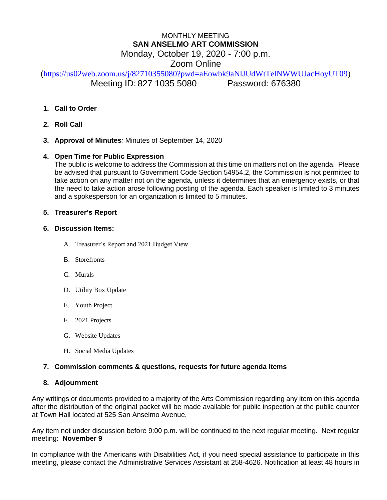# MONTHLY MEETING **SAN ANSELMO ART COMMISSION** Monday, October 19, 2020 - 7:00 p.m. Zoom Online

([https://us02web.zoom.us/j/82710355080?pwd=aEowbk9aNlJUdWtTelNWWUJacHoyUT09\)](https://us02web.zoom.us/j/82710355080?pwd=aEowbk9aNlJUdWtTelNWWUJacHoyUT09) Meeting ID: 827 1035 5080 Password: 676380

- **1. Call to Order**
- **2. Roll Call**
- **3. Approval of Minutes***:* Minutes of September 14, 2020

## **4. Open Time for Public Expression**

The public is welcome to address the Commission at this time on matters not on the agenda. Please be advised that pursuant to Government Code Section 54954.2, the Commission is not permitted to take action on any matter not on the agenda, unless it determines that an emergency exists, or that the need to take action arose following posting of the agenda. Each speaker is limited to 3 minutes and a spokesperson for an organization is limited to 5 minutes.

### **5. Treasurer's Report**

#### **6. Discussion Items:**

- A. Treasurer's Report and 2021 Budget View
- B. Storefronts
- C. Murals
- D. Utility Box Update
- E. Youth Project
- F. 2021 Projects
- G. Website Updates
- H. Social Media Updates

## **7. Commission comments & questions, requests for future agenda items**

#### **8. Adjournment**

Any writings or documents provided to a majority of the Arts Commission regarding any item on this agenda after the distribution of the original packet will be made available for public inspection at the public counter at Town Hall located at 525 San Anselmo Avenue.

Any item not under discussion before 9:00 p.m. will be continued to the next regular meeting. Next regular meeting: **November 9**

In compliance with the Americans with Disabilities Act, if you need special assistance to participate in this meeting, please contact the Administrative Services Assistant at 258-4626. Notification at least 48 hours in